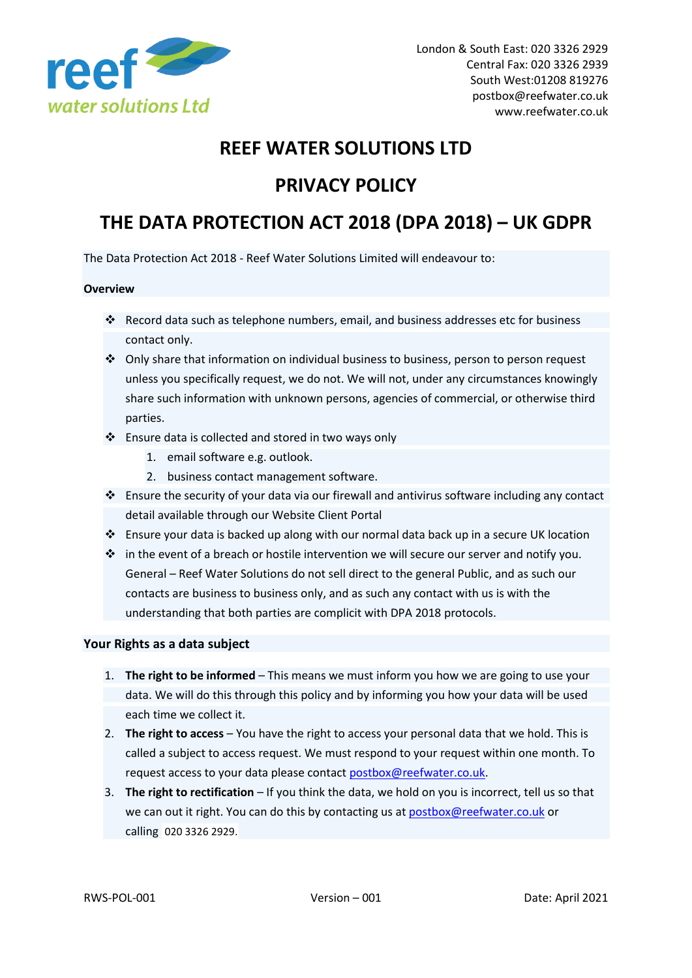

# **REEF WATER SOLUTIONS LTD**

# **PRIVACY POLICY**

# **THE DATA PROTECTION ACT 2018 (DPA 2018) – UK GDPR**

The Data Protection Act 2018 - Reef Water Solutions Limited will endeavour to:

## **Overview**

- ❖ Record data such as telephone numbers, email, and business addresses etc for business contact only.
- ❖ Only share that information on individual business to business, person to person request unless you specifically request, we do not. We will not, under any circumstances knowingly share such information with unknown persons, agencies of commercial, or otherwise third parties.
- ❖ Ensure data is collected and stored in two ways only
	- 1. email software e.g. outlook.
	- 2. business contact management software.
- ❖ Ensure the security of your data via our firewall and antivirus software including any contact detail available through our Website Client Portal
- ❖ Ensure your data is backed up along with our normal data back up in a secure UK location
- ❖ in the event of a breach or hostile intervention we will secure our server and notify you. General – Reef Water Solutions do not sell direct to the general Public, and as such our contacts are business to business only, and as such any contact with us is with the understanding that both parties are complicit with DPA 2018 protocols.

## **Your Rights as a data subject**

- 1. **The right to be informed** This means we must inform you how we are going to use your data. We will do this through this policy and by informing you how your data will be used each time we collect it.
- 2. **The right to access** You have the right to access your personal data that we hold. This is called a subject to access request. We must respond to your request within one month. To request access to your data please contac[t postbox@reefwater.co.uk.](mailto:postbox@reefwater.co.uk)
- 3. **The right to rectification** If you think the data, we hold on you is incorrect, tell us so that we can out it right. You can do this by contacting us at [postbox@reefwater.co.uk](mailto:postbox@reefwater.co.uk) or calling [020 3326 2929.](https://www.google.com/search?q=reef+water+solutions&rlz=1C1CHBF_en-GBGB858GB858&ei=L7R2YNa0G6qZ1fAPlMeu0AE&oq=reef+water+solutions&gs_lcp=Cgdnd3Mtd2l6EAMyAggAMgYIABAFEB46BwgAEEcQsAM6DQguEMcBEK8BEA0QkwI6BggAEA0QHjoECAAQDToICAAQDRAFEB5QmRdYiSZg1ShoAnACeACAAWKIAbwCkgEBNJgBAKABAaoBB2d3cy13aXrIAQjAAQE&sclient=gws-wiz&ved=0ahUKEwiWiKS3tP3vAhWqTBUIHZSjCxoQ4dUDCA4&uact=5)